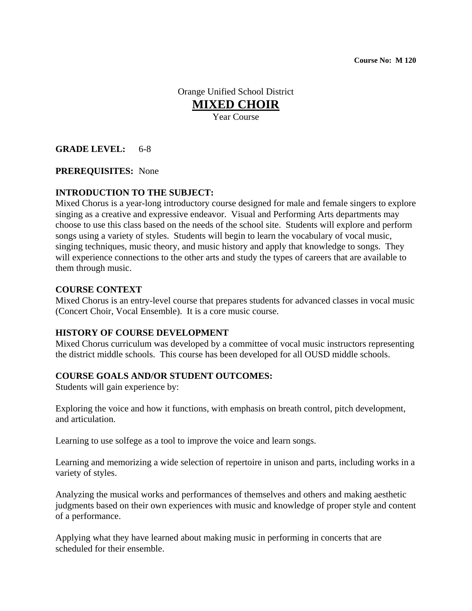**Course No: M 120**

Orange Unified School District **MIXED CHOIR** Year Course

### **GRADE LEVEL:** 6-8

#### **PREREQUISITES:** None

#### **INTRODUCTION TO THE SUBJECT:**

Mixed Chorus is a year-long introductory course designed for male and female singers to explore singing as a creative and expressive endeavor. Visual and Performing Arts departments may choose to use this class based on the needs of the school site. Students will explore and perform songs using a variety of styles. Students will begin to learn the vocabulary of vocal music, singing techniques, music theory, and music history and apply that knowledge to songs. They will experience connections to the other arts and study the types of careers that are available to them through music.

#### **COURSE CONTEXT**

Mixed Chorus is an entry-level course that prepares students for advanced classes in vocal music (Concert Choir, Vocal Ensemble). It is a core music course.

#### **HISTORY OF COURSE DEVELOPMENT**

Mixed Chorus curriculum was developed by a committee of vocal music instructors representing the district middle schools. This course has been developed for all OUSD middle schools.

#### **COURSE GOALS AND/OR STUDENT OUTCOMES:**

Students will gain experience by:

Exploring the voice and how it functions, with emphasis on breath control, pitch development, and articulation.

Learning to use solfege as a tool to improve the voice and learn songs.

Learning and memorizing a wide selection of repertoire in unison and parts, including works in a variety of styles.

Analyzing the musical works and performances of themselves and others and making aesthetic judgments based on their own experiences with music and knowledge of proper style and content of a performance.

Applying what they have learned about making music in performing in concerts that are scheduled for their ensemble.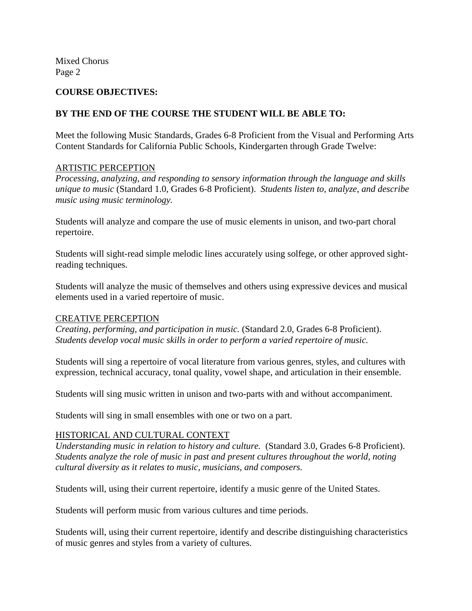Mixed Chorus Page 2

#### **COURSE OBJECTIVES:**

# **BY THE END OF THE COURSE THE STUDENT WILL BE ABLE TO:**

Meet the following Music Standards, Grades 6-8 Proficient from the Visual and Performing Arts Content Standards for California Public Schools, Kindergarten through Grade Twelve:

# ARTISTIC PERCEPTION

*Processing, analyzing, and responding to sensory information through the language and skills unique to music* (Standard 1.0, Grades 6-8 Proficient). *Students listen to, analyze, and describe music using music terminology.*

Students will analyze and compare the use of music elements in unison, and two-part choral repertoire.

Students will sight-read simple melodic lines accurately using solfege, or other approved sightreading techniques.

Students will analyze the music of themselves and others using expressive devices and musical elements used in a varied repertoire of music.

#### CREATIVE PERCEPTION

*Creating, performing, and participation in music.* (Standard 2.0, Grades 6-8 Proficient). *Students develop vocal music skills in order to perform a varied repertoire of music.* 

Students will sing a repertoire of vocal literature from various genres, styles, and cultures with expression, technical accuracy, tonal quality, vowel shape, and articulation in their ensemble.

Students will sing music written in unison and two-parts with and without accompaniment.

Students will sing in small ensembles with one or two on a part.

# HISTORICAL AND CULTURAL CONTEXT

*Understanding music in relation to history and culture.* (Standard 3.0, Grades 6-8 Proficient). *Students analyze the role of music in past and present cultures throughout the world, noting cultural diversity as it relates to music, musicians, and composers.*

Students will, using their current repertoire, identify a music genre of the United States.

Students will perform music from various cultures and time periods.

Students will, using their current repertoire, identify and describe distinguishing characteristics of music genres and styles from a variety of cultures.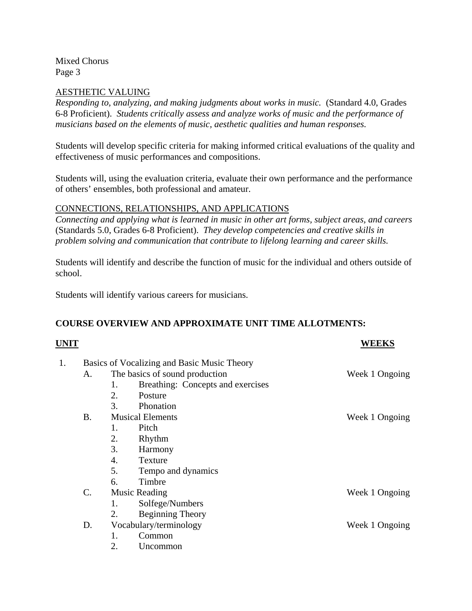Mixed Chorus Page 3

### AESTHETIC VALUING

*Responding to, analyzing, and making judgments about works in music.* (Standard 4.0, Grades 6-8 Proficient). *Students critically assess and analyze works of music and the performance of musicians based on the elements of music, aesthetic qualities and human responses.*

Students will develop specific criteria for making informed critical evaluations of the quality and effectiveness of music performances and compositions.

Students will, using the evaluation criteria, evaluate their own performance and the performance of others' ensembles, both professional and amateur.

### CONNECTIONS, RELATIONSHIPS, AND APPLICATIONS

*Connecting and applying what is learned in music in other art forms, subject areas, and careers*  (Standards 5.0, Grades 6-8 Proficient). *They develop competencies and creative skills in problem solving and communication that contribute to lifelong learning and career skills.*

Students will identify and describe the function of music for the individual and others outside of school.

Students will identify various careers for musicians.

# **COURSE OVERVIEW AND APPROXIMATE UNIT TIME ALLOTMENTS:**

| UNIT |                                             |                                |                                   | WEEKS          |
|------|---------------------------------------------|--------------------------------|-----------------------------------|----------------|
| 1.   | Basics of Vocalizing and Basic Music Theory |                                |                                   |                |
|      | A.                                          | The basics of sound production |                                   | Week 1 Ongoing |
|      |                                             | 1.                             | Breathing: Concepts and exercises |                |
|      |                                             | 2.                             | Posture                           |                |
|      |                                             | 3.                             | Phonation                         |                |
|      | <b>B.</b>                                   | <b>Musical Elements</b>        |                                   | Week 1 Ongoing |
|      |                                             | 1.                             | Pitch                             |                |
|      |                                             | 2.                             | Rhythm                            |                |
|      |                                             | 3.                             | Harmony                           |                |
|      |                                             | 4.                             | <b>Texture</b>                    |                |
|      |                                             | 5.                             | Tempo and dynamics                |                |
|      |                                             | 6.                             | Timbre                            |                |
|      | $\mathcal{C}$ .                             | <b>Music Reading</b>           |                                   | Week 1 Ongoing |
|      |                                             | 1.                             | Solfege/Numbers                   |                |
|      |                                             | 2.                             | Beginning Theory                  |                |
|      | D.                                          | Vocabulary/terminology         |                                   | Week 1 Ongoing |
|      |                                             | 1.                             | Common                            |                |
|      |                                             | 2.                             | Uncommon                          |                |
|      |                                             |                                |                                   |                |